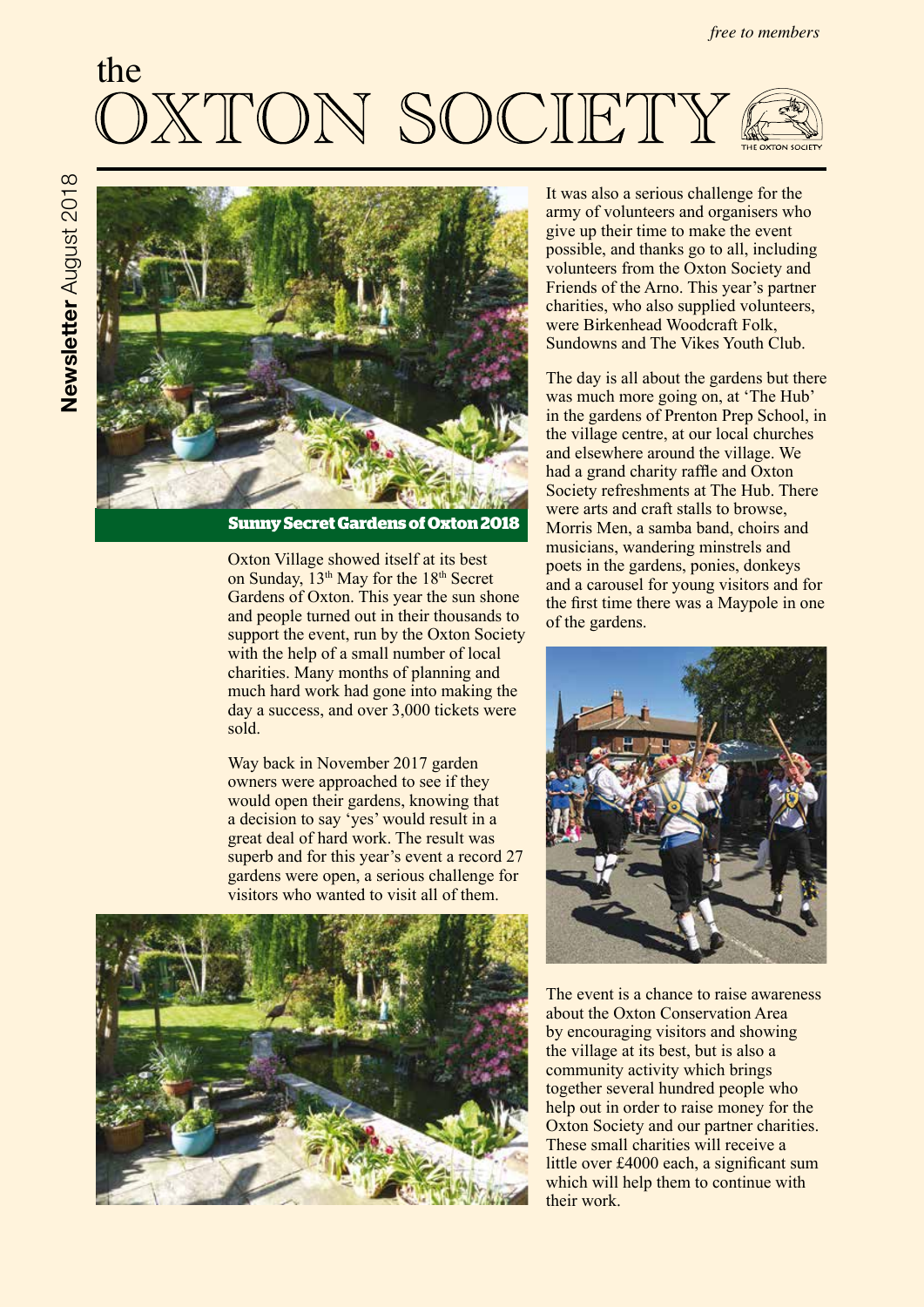# the **TON SOCIETY**



**Sunny Secret Gardens of Oxton 2018**

Oxton Village showed itself at its best on Sunday, 13<sup>th</sup> May for the 18<sup>th</sup> Secret Gardens of Oxton. This year the sun shone and people turned out in their thousands to support the event, run by the Oxton Society with the help of a small number of local charities. Many months of planning and much hard work had gone into making the day a success, and over 3,000 tickets were sold.

Way back in November 2017 garden owners were approached to see if they would open their gardens, knowing that a decision to say 'yes' would result in a great deal of hard work. The result was superb and for this year's event a record 27 gardens were open, a serious challenge for visitors who wanted to visit all of them.



It was also a serious challenge for the army of volunteers and organisers who give up their time to make the event possible, and thanks go to all, including volunteers from the Oxton Society and Friends of the Arno. This year's partner charities, who also supplied volunteers, were Birkenhead Woodcraft Folk, Sundowns and The Vikes Youth Club.

The day is all about the gardens but there was much more going on, at 'The Hub' in the gardens of Prenton Prep School, in the village centre, at our local churches and elsewhere around the village. We had a grand charity raffle and Oxton Society refreshments at The Hub. There were arts and craft stalls to browse, Morris Men, a samba band, choirs and musicians, wandering minstrels and poets in the gardens, ponies, donkeys and a carousel for young visitors and for the first time there was a Maypole in one of the gardens.



The event is a chance to raise awareness about the Oxton Conservation Area by encouraging visitors and showing the village at its best, but is also a community activity which brings together several hundred people who help out in order to raise money for the Oxton Society and our partner charities. These small charities will receive a little over £4000 each, a significant sum which will help them to continue with their work.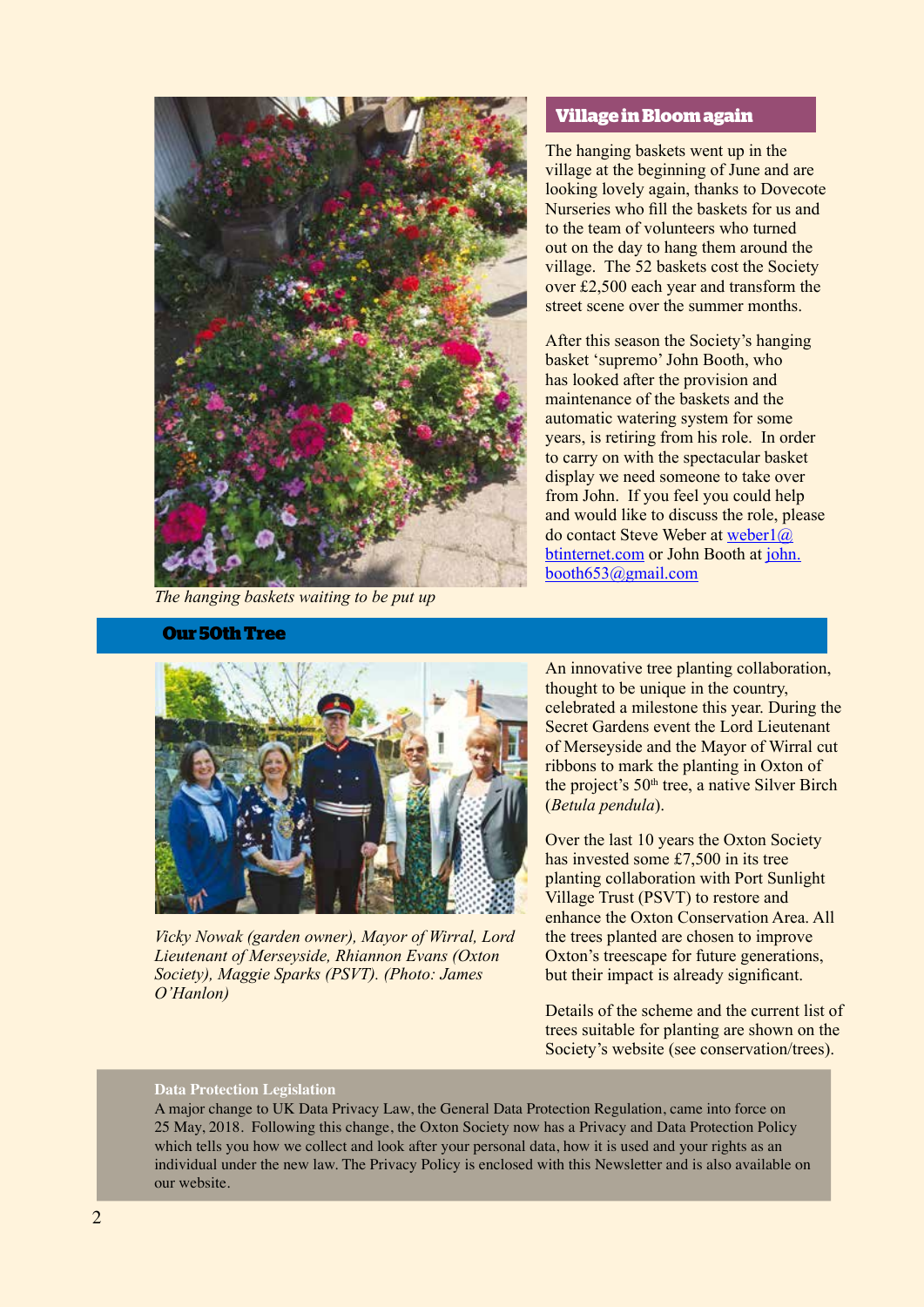

*The hanging baskets waiting to be put up*

#### **Our 50th Tree**

#### **Village in Bloom again**

The hanging baskets went up in the village at the beginning of June and are looking lovely again, thanks to Dovecote Nurseries who fill the baskets for us and to the team of volunteers who turned out on the day to hang them around the village. The 52 baskets cost the Society over £2,500 each year and transform the street scene over the summer months.

After this season the Society's hanging basket 'supremo' John Booth, who has looked after the provision and maintenance of the baskets and the automatic watering system for some years, is retiring from his role. In order to carry on with the spectacular basket display we need someone to take over from John. If you feel you could help and would like to discuss the role, please do contact Steve Weber at weber1@ btinternet.com or John Booth at john. booth653@gmail.com



*Vicky Nowak (garden owner), Mayor of Wirral, Lord Lieutenant of Merseyside, Rhiannon Evans (Oxton Society), Maggie Sparks (PSVT). (Photo: James O'Hanlon)*

An innovative tree planting collaboration, thought to be unique in the country, celebrated a milestone this year. During the Secret Gardens event the Lord Lieutenant of Merseyside and the Mayor of Wirral cut ribbons to mark the planting in Oxton of the project's 50<sup>th</sup> tree, a native Silver Birch (*Betula pendula*).

Over the last 10 years the Oxton Society has invested some £7,500 in its tree planting collaboration with Port Sunlight Village Trust (PSVT) to restore and enhance the Oxton Conservation Area. All the trees planted are chosen to improve Oxton's treescape for future generations, but their impact is already significant.

Details of the scheme and the current list of trees suitable for planting are shown on the Society's website (see conservation/trees).

#### **Data Protection Legislation**

A major change to UK Data Privacy Law, the General Data Protection Regulation, came into force on 25 May, 2018. Following this change, the Oxton Society now has a Privacy and Data Protection Policy which tells you how we collect and look after your personal data, how it is used and your rights as an individual under the new law. The Privacy Policy is enclosed with this Newsletter and is also available on our website.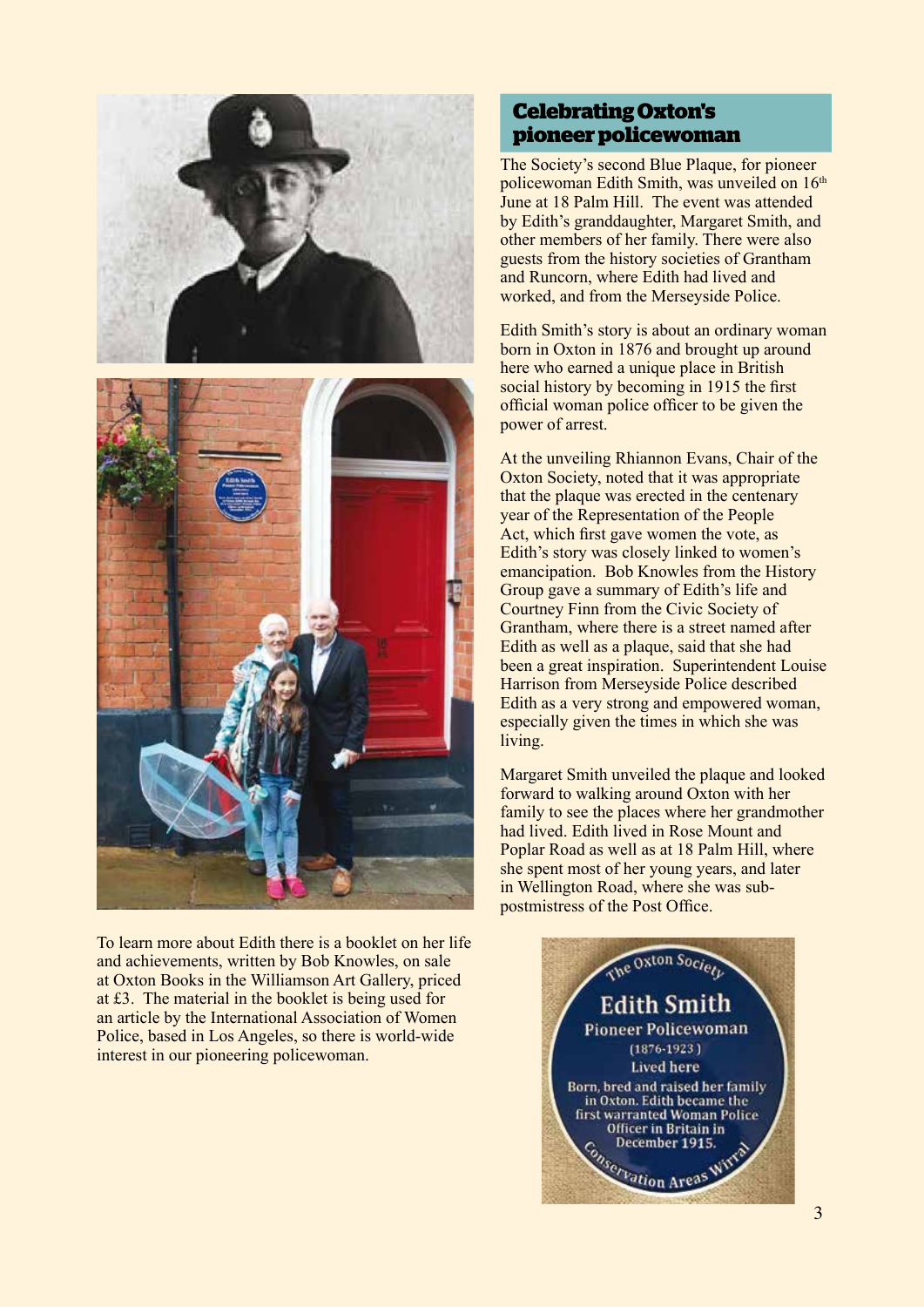

To learn more about Edith there is a booklet on her life and achievements, written by Bob Knowles, on sale at Oxton Books in the Williamson Art Gallery, priced at £3. The material in the booklet is being used for an article by the International Association of Women Police, based in Los Angeles, so there is world-wide interest in our pioneering policewoman.

# **Celebrating Oxton's pioneer policewoman**

The Society's second Blue Plaque, for pioneer policewoman Edith Smith, was unveiled on 16<sup>th</sup> June at 18 Palm Hill. The event was attended by Edith's granddaughter, Margaret Smith, and other members of her family. There were also guests from the history societies of Grantham and Runcorn, where Edith had lived and worked, and from the Merseyside Police.

Edith Smith's story is about an ordinary woman born in Oxton in 1876 and brought up around here who earned a unique place in British social history by becoming in 1915 the first official woman police officer to be given the power of arrest.

At the unveiling Rhiannon Evans, Chair of the Oxton Society, noted that it was appropriate that the plaque was erected in the centenary year of the Representation of the People Act, which first gave women the vote, as Edith's story was closely linked to women's emancipation. Bob Knowles from the History Group gave a summary of Edith's life and Courtney Finn from the Civic Society of Grantham, where there is a street named after Edith as well as a plaque, said that she had been a great inspiration. Superintendent Louise Harrison from Merseyside Police described Edith as a very strong and empowered woman, especially given the times in which she was living.

Margaret Smith unveiled the plaque and looked forward to walking around Oxton with her family to see the places where her grandmother had lived. Edith lived in Rose Mount and Poplar Road as well as at 18 Palm Hill, where she spent most of her young years, and later in Wellington Road, where she was subpostmistress of the Post Office.

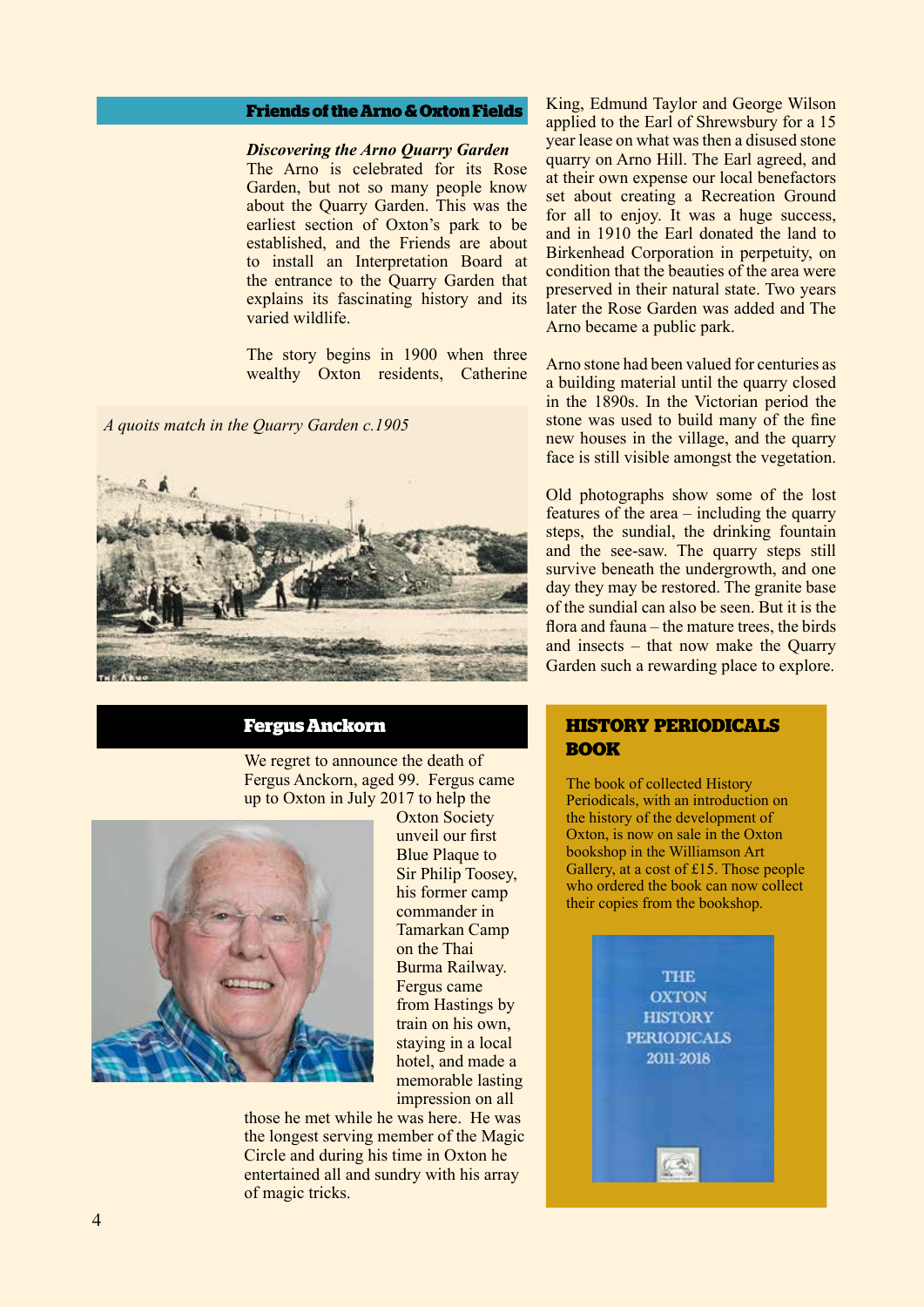# **Friends of the Arno & Oxton Fields**

#### *Discovering the Arno Quarry Garden*

The Arno is celebrated for its Rose Garden, but not so many people know about the Quarry Garden. This was the earliest section of Oxton's park to be established, and the Friends are about to install an Interpretation Board at the entrance to the Quarry Garden that explains its fascinating history and its varied wildlife.

The story begins in 1900 when three wealthy Oxton residents, Catherine

*A quoits match in the Quarry Garden c.1905*



# **Fergus Anckorn**

We regret to announce the death of Fergus Anckorn, aged 99. Fergus came up to Oxton in July 2017 to help the



Oxton Society unveil our first Blue Plaque to Sir Philip Toosey, his former camp commander in Tamarkan Camp on the Thai Burma Railway. Fergus came from Hastings by train on his own, staying in a local hotel, and made a memorable lasting impression on all

those he met while he was here. He was the longest serving member of the Magic Circle and during his time in Oxton he entertained all and sundry with his array of magic tricks.

King, Edmund Taylor and George Wilson applied to the Earl of Shrewsbury for a 15 year lease on what was then a disused stone quarry on Arno Hill. The Earl agreed, and at their own expense our local benefactors set about creating a Recreation Ground for all to enjoy. It was a huge success, and in 1910 the Earl donated the land to Birkenhead Corporation in perpetuity, on condition that the beauties of the area were preserved in their natural state. Two years later the Rose Garden was added and The Arno became a public park.

Arno stone had been valued for centuries as a building material until the quarry closed in the 1890s. In the Victorian period the stone was used to build many of the fine new houses in the village, and the quarry face is still visible amongst the vegetation.

Old photographs show some of the lost features of the area – including the quarry steps, the sundial, the drinking fountain and the see-saw. The quarry steps still survive beneath the undergrowth, and one day they may be restored. The granite base of the sundial can also be seen. But it is the flora and fauna – the mature trees, the birds and insects – that now make the Quarry Garden such a rewarding place to explore.

# **HISTORY PERIODICALS BOOK**

The book of collected History Periodicals, with an introduction on the history of the development of Oxton, is now on sale in the Oxton bookshop in the Williamson Art Gallery, at a cost of £15. Those people who ordered the book can now collect their copies from the bookshop.

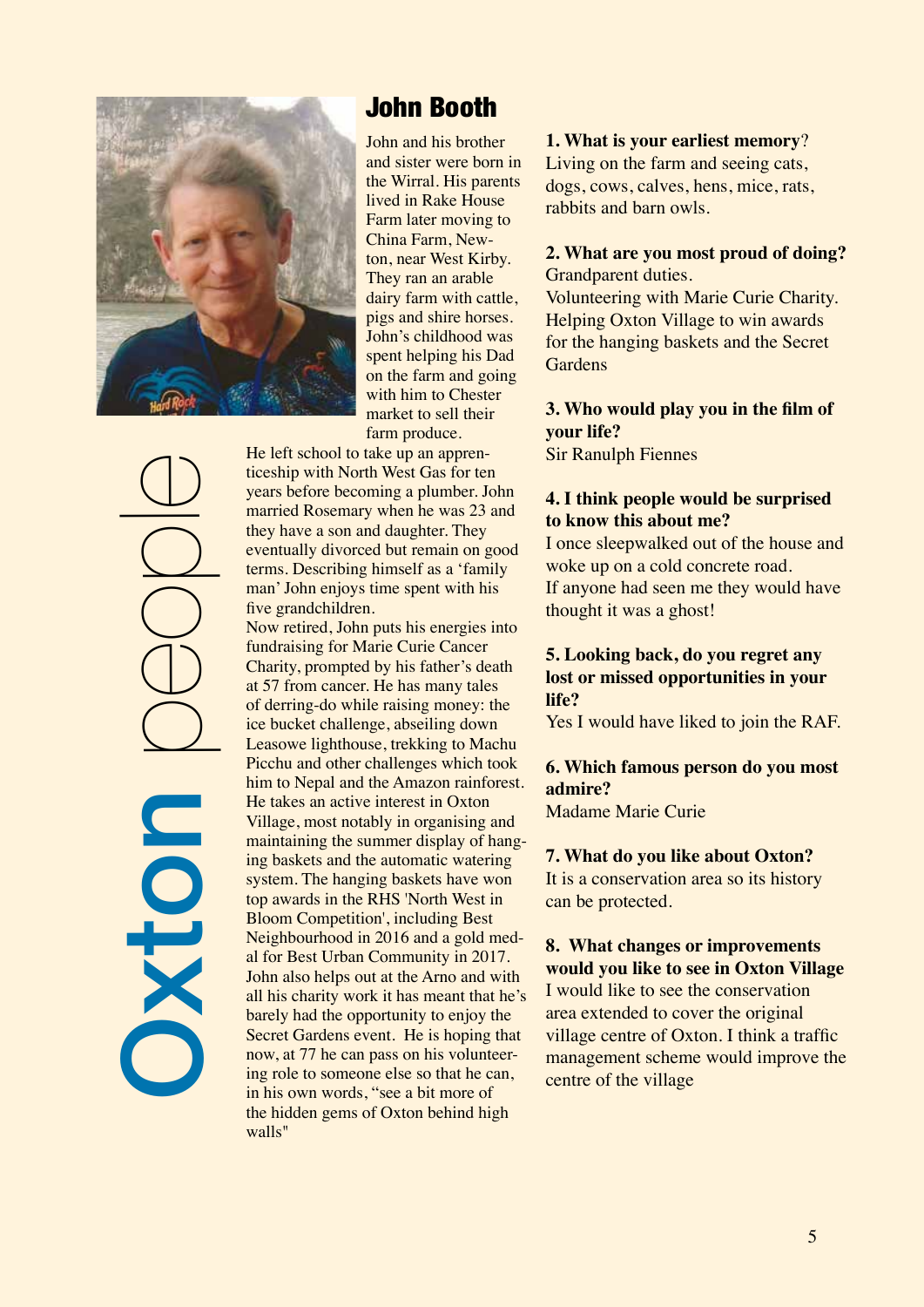

**Dolx** e<br>People

# John Booth

John and his brother and sister were born in the Wirral. His parents lived in Rake House Farm later moving to China Farm, Newton, near West Kirby. They ran an arable dairy farm with cattle, pigs and shire horses. John's childhood was spent helping his Dad on the farm and going with him to Chester market to sell their farm produce.

He left school to take up an apprenticeship with North West Gas for ten years before becoming a plumber. John married Rosemary when he was 23 and they have a son and daughter. They eventually divorced but remain on good terms. Describing himself as a 'family man' John enjoys time spent with his five grandchildren.

Now retired, John puts his energies into fundraising for Marie Curie Cancer Charity, prompted by his father's death at 57 from cancer. He has many tales of derring-do while raising money: the ice bucket challenge, abseiling down Leasowe lighthouse, trekking to Machu Picchu and other challenges which took him to Nepal and the Amazon rainforest. He takes an active interest in Oxton Village, most notably in organising and maintaining the summer display of hanging baskets and the automatic watering system. The hanging baskets have won top awards in the RHS 'North West in Bloom Competition', including Best Neighbourhood in 2016 and a gold medal for Best Urban Community in 2017. John also helps out at the Arno and with all his charity work it has meant that he's barely had the opportunity to enjoy the Secret Gardens event. He is hoping that now, at 77 he can pass on his volunteering role to someone else so that he can, in his own words, "see a bit more of the hidden gems of Oxton behind high walls"

# **1. What is your earliest memory**?

Living on the farm and seeing cats, dogs, cows, calves, hens, mice, rats, rabbits and barn owls.

# **2. What are you most proud of doing?** Grandparent duties.

Volunteering with Marie Curie Charity. Helping Oxton Village to win awards for the hanging baskets and the Secret **Gardens** 

**3. Who would play you in the film of your life?** Sir Ranulph Fiennes

# **4. I think people would be surprised to know this about me?**

I once sleepwalked out of the house and woke up on a cold concrete road. If anyone had seen me they would have thought it was a ghost!

# **5. Looking back, do you regret any lost or missed opportunities in your life?**

Yes I would have liked to join the RAF.

# **6. Which famous person do you most admire?**

Madame Marie Curie

### **7. What do you like about Oxton?**

It is a conservation area so its history can be protected.

# **8. What changes or improvements would you like to see in Oxton Village**

I would like to see the conservation area extended to cover the original village centre of Oxton. I think a traffic management scheme would improve the centre of the village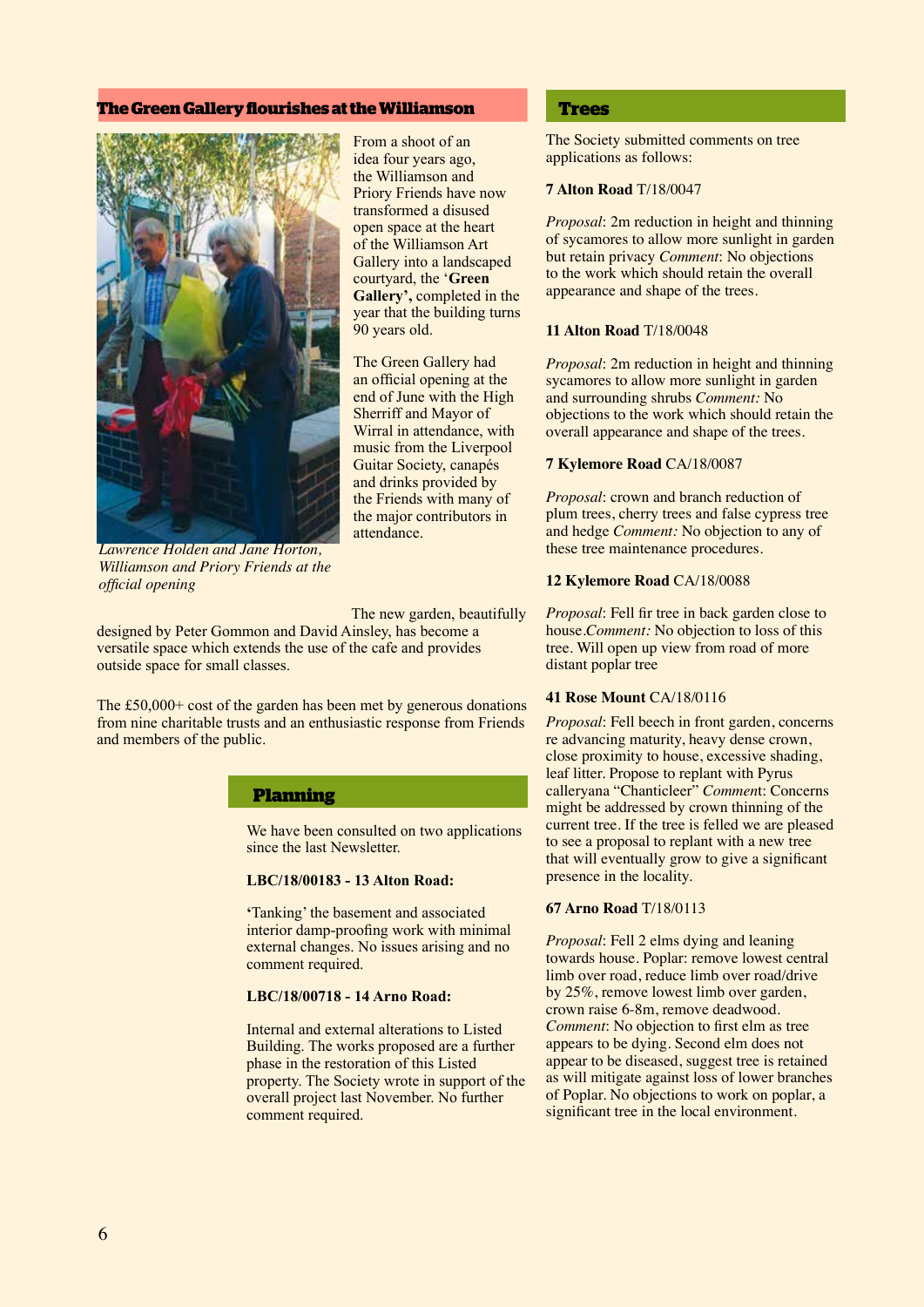#### **The Green Gallery flourishes at the Williamson**



*Lawrence Holden and Jane Horton, Williamson and Priory Friends at the official opening*

From a shoot of an idea four years ago, the Williamson and Priory Friends have now transformed a disused open space at the heart of the Williamson Art Gallery into a landscaped courtyard, the '**Green Gallery',** completed in the year that the building turns 90 years old.

The Green Gallery had an official opening at the end of June with the High Sherriff and Mayor of Wirral in attendance, with music from the Liverpool Guitar Society, canapés and drinks provided by the Friends with many of the major contributors in attendance.

The new garden, beautifully

designed by Peter Gommon and David Ainsley, has become a versatile space which extends the use of the cafe and provides outside space for small classes.

The £50,000+ cost of the garden has been met by generous donations from nine charitable trusts and an enthusiastic response from Friends and members of the public.

#### **Planning**

We have been consulted on two applications since the last Newsletter.

#### **LBC/18/00183 - 13 Alton Road:**

**'**Tanking' the basement and associated interior damp-proofing work with minimal external changes. No issues arising and no comment required.

#### **LBC/18/00718 - 14 Arno Road:**

Internal and external alterations to Listed Building. The works proposed are a further phase in the restoration of this Listed property. The Society wrote in support of the overall project last November. No further comment required.

#### **Trees**

The Society submitted comments on tree applications as follows:

#### **7 Alton Road** T/18/0047

*Proposal*: 2m reduction in height and thinning of sycamores to allow more sunlight in garden but retain privacy *Comment*: No objections to the work which should retain the overall appearance and shape of the trees.

#### **11 Alton Road** T/18/0048

*Proposal*: 2m reduction in height and thinning sycamores to allow more sunlight in garden and surrounding shrubs *Comment:* No objections to the work which should retain the overall appearance and shape of the trees.

#### **7 Kylemore Road** CA/18/0087

*Proposal*: crown and branch reduction of plum trees, cherry trees and false cypress tree and hedge *Comment:* No objection to any of these tree maintenance procedures.

#### **12 Kylemore Road** CA/18/0088

*Proposal*: Fell fir tree in back garden close to house.*Comment:* No objection to loss of this tree. Will open up view from road of more distant poplar tree

#### **41 Rose Mount** CA/18/0116

*Proposal*: Fell beech in front garden, concerns re advancing maturity, heavy dense crown, close proximity to house, excessive shading, leaf litter. Propose to replant with Pyrus calleryana "Chanticleer" *Commen*t: Concerns might be addressed by crown thinning of the current tree. If the tree is felled we are pleased to see a proposal to replant with a new tree that will eventually grow to give a significant presence in the locality.

#### **67 Arno Road** T/18/0113

*Proposal*: Fell 2 elms dying and leaning towards house. Poplar: remove lowest central limb over road, reduce limb over road/drive by 25%, remove lowest limb over garden, crown raise 6-8m, remove deadwood. *Comment*: No objection to first elm as tree appears to be dying. Second elm does not appear to be diseased, suggest tree is retained as will mitigate against loss of lower branches of Poplar. No objections to work on poplar, a significant tree in the local environment.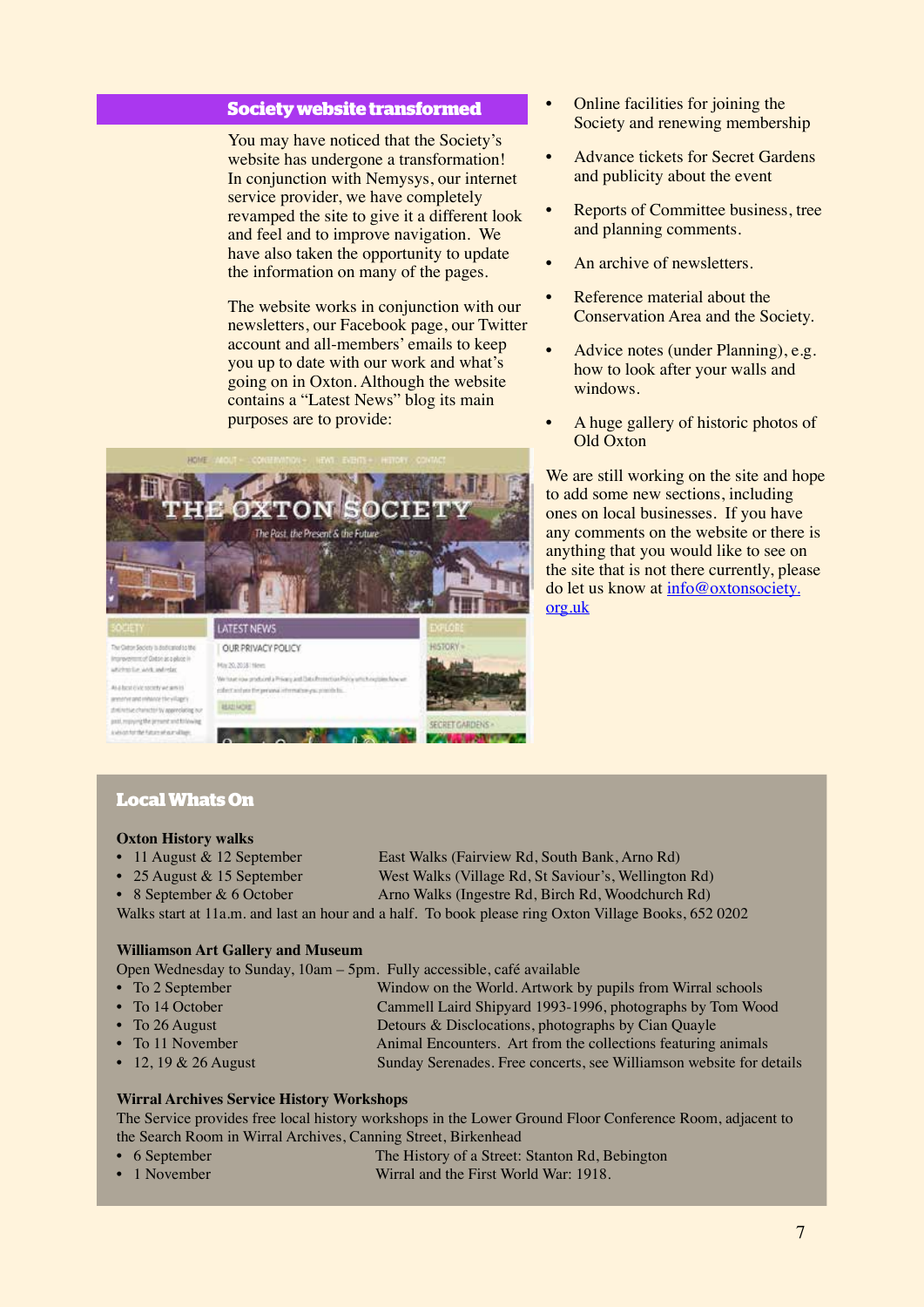#### **Society website transformed**

You may have noticed that the Society's website has undergone a transformation! In conjunction with Nemysys, our internet service provider, we have completely revamped the site to give it a different look and feel and to improve navigation. We have also taken the opportunity to update the information on many of the pages.

The website works in conjunction with our newsletters, our Facebook page, our Twitter account and all-members' emails to keep you up to date with our work and what's going on in Oxton. Although the website contains a "Latest News" blog its main purposes are to provide:



- Online facilities for joining the Society and renewing membership
- Advance tickets for Secret Gardens and publicity about the event
- Reports of Committee business, tree and planning comments.
- An archive of newsletters.
- Reference material about the Conservation Area and the Society.
- Advice notes (under Planning), e.g. how to look after your walls and windows.
- A huge gallery of historic photos of Old Oxton

We are still working on the site and hope to add some new sections, including ones on local businesses. If you have any comments on the website or there is anything that you would like to see on the site that is not there currently, please do let us know at info@oxtonsociety. org.uk

# **Local Whats On**

past, reproved the present and following

sistente taunat aindago

#### **Oxton History walks**

- 
- 
- 

• 11 August & 12 September East Walks (Fairview Rd, South Bank, Arno Rd) • 25 August & 15 September West Walks (Village Rd, St Saviour's, Wellington Rd)

• 8 September & 6 October Arno Walks (Ingestre Rd, Birch Rd, Woodchurch Rd)

Walks start at 11a.m. and last an hour and a half. To book please ring Oxton Village Books, 652 0202

**SECRET GARDENS** 

**WANTED** 

#### **Williamson Art Gallery and Museum**

Open Wednesday to Sunday, 10am – 5pm. Fully accessible, café available

| $\bullet$ To 2 September | Window on the World. Artwork by pupils from Wirral schools    |
|--------------------------|---------------------------------------------------------------|
| • To 14 October          | Cammell Laird Shipyard 1993-1996, photographs by Tom Wood     |
| • To $26$ August         | Detours & Disclocations, photographs by Cian Quayle           |
| • To 11 November         | Animal Encounters. Art from the collections featuring animals |

• 12, 19 & 26 August Sunday Serenades. Free concerts, see Williamson website for details

#### **Wirral Archives Service History Workshops**

The Service provides free local history workshops in the Lower Ground Floor Conference Room, adjacent to the Search Room in Wirral Archives, Canning Street, Birkenhead

- 6 September The History of a Street: Stanton Rd, Bebington
- 1 November Wirral and the First World War: 1918.